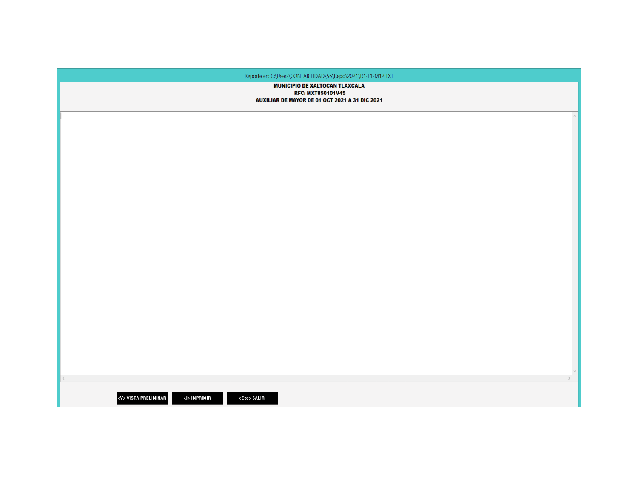Reporte en: C:\Users\CONTABILIDAD\56\Repo\2021\R1-L1-M12.TXT

**MUNICIPIO DE XALTOCAN TLAXCALA RFC: MXT850101V45** AUXILIAR DE MAYOR DE 01 OCT 2021 A 31 DIC 2021

<V> VISTA PRELIMINAR

<I> IMPRIMIR <Esc> SALIR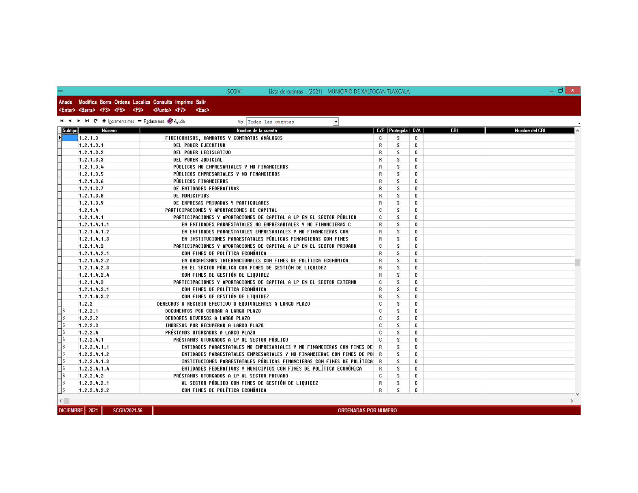#### SCGIV: Lista de cuentas (2021) MUNICIPIO DE XALTOCAN TLAXCALA

 $\Box$  x

Añade Modifica Borra Ordena Localiza Consulta Imprime Salir <Enter> <Barra> <F3> <F5> <F9> <Punto> <F7> <Esc>

H < ▶ H ( + Incrementa mes = Reduce mes < Ayuda Ver Todas las cuentas  $\vert$ Nombre del CRI Nombre de la cuenta Subtipo Número C/R Protegida D/A CRI  $1.2.1.3$ FIDEICOMISOS, MANDATOS Y CONTRATOS ANÁLOGOS  $\mathbf{c}$ S.  $\mathbf{D}$  $1.2.1.3.1$ **DEL PODER EJECUTIVO**  $\mathbf R$ S D s  $1.2.1.3.2$ DEL PODER LEGISLATIVO R D  $1.2.1.3.3$ DEL PODER JUDICIAL s  $\mathbf R$ D PÚBLICOS NO EMPRESARIALES Y NO FINANCIEROS  $1.2.1.3.4$ R S D  $1.2.1.3.5$ PÚBLICOS EMPRESARIALES Y NO FINANCIEROS R S D  $1.2.1.3.6$ PÚBLICOS FINANCIEROS  $\mathbf R$ s D  $1.2.1.3.7$ DE ENTIDADES FEDERATIVAS R S D  $1.2.1.3.8$ DE MUNICIPIOS S R D  $1.2.1.3.9$ DE EMPRESAS PRIVADAS Y PARTICULARES  $\mathbf R$ S D  $1.2.1.4$ PARTICIPACIONES Y APORTACIONES DE CAPITAL c s D PARTICIPACIONES Y APORTACIONES DE CAPITAL A LP EN EL SECTOR PÚBLICO  $1.2.1.4.1$ C S D  $1.2.1.4.1.1$ EN ENTIDADES PARAESTATALES NO EMPRESARIALES Y NO FINANCIERAS C  $\mathbf R$ S D  $1.2.1.4.1.2$ EN ENTIDADES PARAESTATALES EMPRESARIALES Y NO FINANCIERAS CON  $\mathbf R$ S D  $1.2.1.4.1.3$ EN INSTITUCIONES PARAESTATALES PÚBLICAS FINANCIERAS CON FINES R S  $\mathbf{D}$ PARTICIPACIONES Y APORTACIONES DE CAPITAL A LP EN EL SECTOR PRIVADO  $1.2.1.4.2$ C S D CON FINES DE POLÍTICA ECONÓMICA  $1.2.1.4.2.1$  $\mathbf R$ s D EN ORGANISMOS INTERNACIONALES CON FINES DE POLÍTICA ECONÓMICA  $1.2.1.4.2.2$ R S D  $1.2.1.4.2.3$ EN EL SECTOR PÚBLICO CON FINES DE GESTIÓN DE LIQUIDEZ R s D 1.2.1.4.2.4 CON FINES DE GESTIÓN DE LIQUIDEZ  $\mathbf R$ S D PARTICIPACIONES Y APORTACIONES DE CAPITAL A LP EN EL SECTOR EXTERNO  $1.2.1.4.3$ C S D CON FINES DE POLÍTICA ECONÓMICA  $1.2.1.4.3.1$ R S D  $1.2.1.4.3.2$ CON FINES DE GESTIÓN DE LIQUIDEZ  $\mathbf R$ s D  $1.2.2$ DERECHOS A RECIBIR EFECTIVO O EQUIVALENTES A LARGO PLAZO C S D DOCUMENTOS POR COBRAR A LARGO PLAZO  $1.2.2.1$ C S D  $1.2.2.2$ DEUDORES DIVERSOS A LARGO PLAZO C S -lS D  $1.2.2.3$ INGRESOS POR RECUPERAR A LARGO PLAZO S c D  $1.2.2.4$ PRÉSTAMOS OTORGADOS A LARGO PLAZO C. S  $\mathbf{D}$ PRÉSTAMOS OTORGADOS A LP AL SECTOR PÚBLICO - Is  $1.2.2.4.1$ c s  $\mathbf{D}$ ENTIDADES PARAESTATALES NO EMPRESARIALES Y NO FINANCIERAS CON FINES DE R  $1.2.2.4.1.1$ S  $\mathbf{D}$ - Is  $1.2.2.4.1.2$ ENTIDADES PARAESTATALES EMPRESARIALES Y NO FINANCIERAS CON FINES DE PO  $\mathbf R$ S D -ls  $1.2.2.4.1.3$ INSTITUCIONES PARAESTATALES PÚBLICAS FINANCIERAS CON FINES DE POLÍTICA R S D  $\vert$ s  $1.2.2.4.1.4$ ENTIDADES FEDERATIVAS Y MUNICIPIOS CON FINES DE POLÍTICA ECONÓMICA S D R PRÉSTAMOS OTORGADOS A LP AL SECTOR PRIVADO C - Is  $1.2.2.4.2$ S D  $1.2.2.4.2.1$ AL SECTOR PÚBLICO CON FINES DE GESTIÓN DE LIQUIDEZ R S D  $|s|$  $1.2.2.4.2.2$ CON FINES DE POLÍTICA ECONÓMICA  $\mathbf R$ S D

DICIEMBRE | 2021 | SCGIV2021-56 **ORDENADAS POR NUMERO**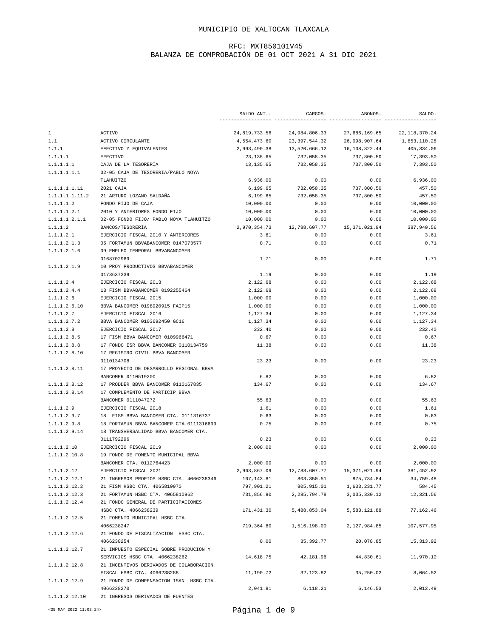|                 |                                          | SALDO ANT.:   | CARGOS:         | ABONOS:         | SALDO:           |
|-----------------|------------------------------------------|---------------|-----------------|-----------------|------------------|
| $\mathbf{1}$    | <b>ACTIVO</b>                            | 24,819,733.56 | 24,984,806.33   | 27,686,169.65   | 22, 118, 370. 24 |
| 1.1             | ACTIVO CIRCULANTE                        | 4,554,473.60  | 23, 397, 544.32 | 26,098,907.64   | 1,853,110.28     |
| 1.1.1           | EFECTIVO Y EQUIVALENTES                  | 2,993,490.38  | 13,520,666.12   | 16,108,822.44   | 405, 334.06      |
| 1.1.1.1         | <b>EFECTIVO</b>                          | 23, 135.65    | 732,058.35      | 737,800.50      | 17,393.50        |
| 1.1.1.1.1       | CAJA DE LA TESORERÍA                     | 13, 135.65    | 732,058.35      | 737,800.50      | 7,393.50         |
| 1.1.1.1.1.1     | 02-05 CAJA DE TESORERIA/PABLO NOYA       |               |                 |                 |                  |
|                 | TLAHUITZO                                | 6,936.00      | 0.00            | 0.00            | 6,936.00         |
| 1.1.1.1.1.11    | 2021 CAJA                                | 6,199.65      | 732,058.35      | 737,800.50      | 457.50           |
| 1.1.1.1.1.1.1.2 | 21 ARTURO LOZANO SALDAÑA                 | 6,199.65      | 732,058.35      | 737,800.50      | 457.50           |
| 1.1.1.1.2       | FONDO FIJO DE CAJA                       | 10,000.00     | 0.00            | 0.00            | 10,000.00        |
| 1.1.1.1.2.1     | 2010 Y ANTERIORES FONDO FIJO             | 10,000.00     | 0.00            | 0.00            | 10,000.00        |
| 1.1.1.1.2.1.1   | 02-05 FONDO FIJO/ PABLO NOYA TLAHUITZO   | 10,000.00     | 0.00            | 0.00            | 10,000.00        |
| 1.1.1.2         | BANCOS/TESORERÍA                         | 2,970,354.73  | 12,788,607.77   | 15, 371, 021.94 | 387,940.56       |
| 1.1.1.2.1       | EJERCICIO FISCAL 2010 Y ANTERIORES       | 3.61          | 0.00            | 0.00            | 3.61             |
| 1.1.1.2.1.3     | 05 FORTAMUN BBVABANCOMER 0147073577      | 0.71          | 0.00            | 0.00            | 0.71             |
|                 |                                          |               |                 |                 |                  |
| 1.1.1.2.1.6     | 09 EMPLEO TEMPORAL BBVABANCOMER          |               |                 |                 |                  |
|                 | 0168702969                               | 1.71          | 0.00            | 0.00            | 1.71             |
| 1.1.1.2.1.9     | 10 PROY PRODUCTIVOS BBVABANCOMER         |               |                 |                 |                  |
|                 | 0173637239                               | 1.19          | 0.00            | 0.00            | 1.19             |
| 1.1.1.2.4       | EJERCICIO FISCAL 2013                    | 2,122.68      | 0.00            | 0.00            | 2,122.68         |
| 1.1.1.2.4.4     | 13 FISM BBVABANCOMER 0192255464          | 2,122.68      | 0.00            | 0.00            | 2.122.68         |
| 1.1.1.2.6       | EJERCICIO FISCAL 2015                    | 1,000.00      | 0.00            | 0.00            | 1,000.00         |
| 1.1.1.2.6.10    | BBVA BANCOMER 0198920915 FAIP15          | 1,000.00      | 0.00            | 0.00            | 1,000.00         |
| 1.1.1.2.7       | EJERCICIO FISCAL 2016                    | 1,127.34      | 0.00            | 0.00            | 1,127.34         |
| 1.1.1.2.7.2     | BBVA BANCOMER 0103692450 GC16            | 1,127.34      | 0.00            | 0.00            | 1,127.34         |
| 1.1.1.2.8       | EJERCICIO FISCAL 2017                    | 232.40        | 0.00            | 0.00            | 232.40           |
| 1.1.1.2.8.5     | 17 FISM BBVA BANCOMER 0109966471         | 0.67          | 0.00            | 0.00            | 0.67             |
| 1.1.1.2.8.8     | 17 FONDO ISR BBVA BANCOMER 0110134759    | 11.38         | 0.00            | 0.00            | 11.38            |
| 1.1.1.2.8.10    | 17 REGISTRO CIVIL BBVA BANCOMER          |               |                 |                 |                  |
|                 | 0110134708                               | 23.23         | 0.00            | 0.00            | 23.23            |
| 1.1.1.2.8.11    | 17 PROYECTO DE DESARROLLO REGIONAL BBVA  |               |                 |                 |                  |
|                 | BANCOMER 0110519200                      | 6.82          | 0.00            | 0.00            | 6.82             |
| 1.1.1.2.8.12    | 17 PRODDER BBVA BANCOMER 0110167835      | 134.67        | 0.00            | 0.00            | 134.67           |
| 1.1.1.2.8.14    | 17 COMPLEMENTO DE PARTICIP BBVA          |               |                 |                 |                  |
|                 | BANCOMER 0111047272                      | 55.63         | 0.00            | 0.00            | 55.63            |
| 1.1.1.2.9       | EJERCICIO FISCAL 2018                    | 1.61          | 0.00            | 0.00            | 1.61             |
| 1.1.1.2.9.7     | 18 FISM BBVA BANCOMER CTA. 0111316737    | 0.63          | 0.00            | 0.00            | 0.63             |
| 1.1.1.2.9.8     | 18 FORTAMUN BBVA BANCOMER CTA.0111316699 | 0.75          | 0.00            | 0.00            | 0.75             |
| 1.1.1.2.9.14    | 18 TRANSVERSALIDAD BBVA BANCOMER CTA.    |               |                 |                 |                  |
|                 | 0111792296                               | 0.23          | 0.00            | 0.00            | 0.23             |
| 1.1.1.2.10      | EJERCICIO FISCAL 2019                    | 2,000.00      | 0.00            | 0.00            | 2,000.00         |
| 1.1.1.2.10.8    | 19 FONDO DE FOMENTO MUNICIPAL BBVA       |               |                 |                 |                  |
|                 | BANCOMER CTA. 0112764423                 | 2,000.00      | 0.00            | 0.00            | 2,000.00         |
| 1.1.1.2.12      | EJERCICIO FISCAL 2021                    | 2,963,867.09  | 12,788,607.77   | 15, 371, 021.94 | 381, 452.92      |
| 1.1.1.2.12.1    | 21 INGRESOS PROPIOS HSBC CTA. 4066238346 | 107,143.81    | 803,350.51      | 875,734.84      | 34,759.48        |
| 1.1.1.2.12.2    | 21 FISM HSBC CTA. 4065810970             | 797,901.21    | 805,915.01      | 1,603,231.77    | 584.45           |
| 1.1.1.2.12.3    | 21 FORTAMUN HSBC CTA. 4065810962         | 731,856.90    | 2, 285, 794.78  | 3,005,330.12    | 12,321.56        |
| 1.1.1.2.12.4    | 21 FONDO GENERAL DE PARTICIPACIONES      |               |                 |                 |                  |
|                 | HSBC CTA. 4066238239                     | 171,431.30    | 5,488,853.04    | 5,583,121.88    | 77,162.46        |
| 1.1.1.2.12.5    | 21 FOMENTO MUNICIPAL HSBC CTA.           |               |                 |                 |                  |
|                 | 4066238247                               | 719,364.80    | 1,516,198.00    | 2,127,984.85    | 107,577.95       |
| 1.1.1.2.12.6    | 21 FONDO DE FISCALIZACION HSBC CTA.      |               |                 |                 |                  |
|                 | 4066238254                               | 0.00          | 35,392.77       | 20,078.85       | 15, 313.92       |
| 1.1.1.2.12.7    | 21 IMPUESTO ESPECIAL SOBRE PRODUCION Y   |               |                 |                 |                  |
|                 | SERVICIOS HSBC CTA. 4066238262           | 14,618.75     | 42,181.96       | 44,830.61       | 11,970.10        |
| 1.1.1.2.12.8    | 21 INCENTIVOS DERIVADOS DE COLABORACION  |               |                 |                 |                  |
|                 | FISCAL HSBC CTA. 4066238288              | 11,190.72     | 32, 123.82      | 35,250.02       | 8,064.52         |
| 1.1.1.2.12.9    | 21 FONDO DE COMPENSACION ISAN HSBC CTA.  |               |                 |                 |                  |
|                 | 4066238270                               | 2,041.81      | 6,118.21        | 6,146.53        | 2,013.49         |
| 1.1.1.2.12.10   | 21 INGRESOS DERIVADOS DE FUENTES         |               |                 |                 |                  |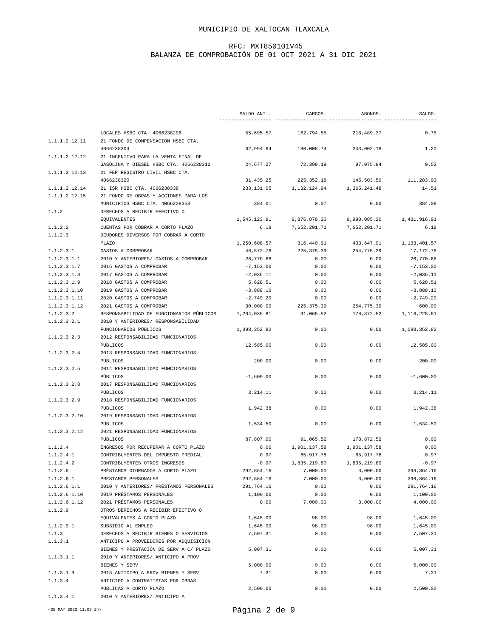|               |                                                   | SALDO ANT.:  | CARGOS:        | ABONOS:      | SALDO:         |
|---------------|---------------------------------------------------|--------------|----------------|--------------|----------------|
|               | LOCALES HSBC CTA. 4066238296                      | 55,695.57    | 162,794.55     | 218, 489.37  | 0.75           |
| 1.1.1.2.12.11 | 21 FONDO DE COMPENSACION HSBC CTA.                |              |                |              |                |
| 1.1.1.2.12.12 | 4066238304<br>21 INCENTIVO PARA LA VENTA FINAL DE | 62,994.64    | 180,008.74     | 243,002.18   | 1.20           |
|               |                                                   |              |                |              |                |
|               | GASOLINA Y DIESEL HSBC CTA. 4066238312            | 24,677.27    | 72,399.19      | 97,075.94    | 0.52           |
| 1.1.1.2.12.13 | 21 FEP REGISTRO CIVIL HSBC CTA.                   |              |                |              |                |
|               | 4066238320                                        | 31, 435.25   | 225, 352. 18   | 145,503.50   | 111,283.93     |
| 1.1.1.2.12.14 | 21 ISR HSBC CTA. 4066238338                       | 233, 131.05  | 1, 132, 124.94 | 1,365,241.48 | 14.51          |
| 1.1.1.2.12.15 | 21 FONDO DE OBRAS Y ACCIONES PARA LOS             |              |                |              |                |
|               | MUNICIPIOS HSBC CTA. 4066238353                   | 384.01       | 0.07           | 0.00         | 384.08         |
| 1.1.2         | DERECHOS A RECIBIR EFECTIVO O                     |              |                |              |                |
|               | <b>EQUIVALENTES</b>                               | 1,545,123.91 | 9,876,878.20   | 9,990,085.20 | 1,431,916.91   |
| 1.1.2.2       | CUENTAS POR COBRAR A CORTO PLAZO                  | 6.18         | 7,652,201.71   | 7,652,201.71 | 6.18           |
| 1.1.2.3       | DEUDORES DIVERSOS POR COBRAR A CORTO              |              |                |              |                |
|               | PLAZO                                             | 1,250,608.57 | 316,440.91     | 433,647.91   | 1,133,401.57   |
| 1.1.2.3.1     | GASTOS A COMPROBAR                                | 46,572.76    | 225, 375.39    | 254,775.39   | 17,172.76      |
| 1.1.2.3.1.1   | 2010 Y ANTERIORES/ GASTOS A COMPROBAR             | 26,770.66    | 0.00           | 0.00         | 26,770.66      |
| 1.1.2.3.1.7   | 2016 GASTOS A COMPROBAR                           | $-7, 153.00$ | 0.00           | 0.00         | $-7, 153.00$   |
| 1.1.2.3.1.8   | 2017 GASTOS A COMPROBAR                           | $-2,036.11$  | 0.00           | 0.00         | $-2,036.11$    |
| 1.1.2.3.1.9   | 2018 GASTOS A COMPROBAR                           | 5,628.51     | 0.00           | 0.00         | 5,628.51       |
| 1.1.2.3.1.10  | 2019 GASTOS A COMPROBAR                           | $-3,888.10$  | 0.00           | 0.00         | $-3,888.10$    |
| 1.1.2.3.1.11  | 2020 GASTOS A COMPROBAR                           | $-2,749.20$  | 0.00           | 0.00         | $-2,749.20$    |
| 1.1.2.3.1.12  | 2021 GASTOS A COMPROBAR                           | 30,000.00    | 225, 375.39    | 254,775.39   | 600.00         |
| 1.1.2.3.2     | RESPONSABILIDAD DE FUNCIONARIOS PÚBLICOS          | 1,204,035.81 | 91,065.52      | 178,872.52   | 1, 116, 228.81 |
| 1.1.2.3.2.1   | 2010 Y ANTERIORES/ RESPONSABILIDAD                |              |                |              |                |
|               | FUNCIONARIOS PÚBLICOS                             | 1,098,352.82 | 0.00           | 0.00         | 1,098,352.82   |
| 1.1.2.3.2.3   | 2012 RESPONSABILIDAD FUNCIONARIOS                 |              |                |              |                |
|               | PÚBLICOS                                          | 12,585.00    | 0.00           | 0.00         | 12,585.00      |
| 1.1.2.3.2.4   | 2013 RESPONSABILIDAD FUNCIONARIOS                 |              |                |              |                |
|               | PÚBLICOS                                          | 200.00       | 0.00           | 0.00         | 200.00         |
| 1.1.2.3.2.5   | 2014 RESPONSABILIDAD FUNCIONARIOS                 |              |                |              |                |
|               | PÚBLICOS                                          | $-1,600.00$  | 0.00           | 0.00         | $-1,600.00$    |
| 1.1.2.3.2.8   | 2017 RESPONSABILIDAD FUNCIONARIOS                 |              |                |              |                |
|               | PÚBLICOS                                          | 3, 214.11    | 0.00           | 0.00         | 3, 214.11      |
| 1.1.2.3.2.9   | 2018 RESPONSABILIDAD FUNCIONARIOS                 |              |                |              |                |
|               | PUBLICOS                                          | 1,942.38     | 0.00           | 0.00         | 1,942.38       |
| 1.1.2.3.2.10  | 2019 RESPONSABILIDAD FUNCIONARIOS                 |              |                |              |                |
|               | PÚBLICOS                                          | 1,534.50     | 0.00           | 0.00         | 1,534.50       |
| 1.1.2.3.2.12  | 2021 RESPONSABILIDAD FUNCIONARIOS                 |              |                |              |                |
|               | PÚBLICOS                                          | 87,807.00    | 91,065.52      | 178,872.52   | 0.00           |
| 1.1.2.4       | INGRESOS POR RECUPERAR A CORTO PLAZO              | 0.00         | 1,901,137.58   | 1,901,137.58 | 0.00           |
| 1.1.2.4.1     | CONTRIBUYENTES DEL IMPUESTO PREDIAL               | 0.97         | 65,917.78      | 65,917.78    | 0.97           |
| 1.1.2.4.2     | CONTRIBUYENTES OTROS INGRESOS                     | $-0.97$      | 1,835,219.80   | 1,835,219.80 | $-0.97$        |
| 1.1.2.6       | PRÉSTAMOS OTORGADOS A CORTO PLAZO                 | 292,864.16   | 7,000.00       | 3,000.00     | 296,864.16     |
| 1.1.2.6.1     | PRESTAMOS PERSONALES                              | 292,864.16   | 7,000.00       | 3,000.00     | 296,864.16     |
| 1.1.2.6.1.1   | 2010 Y ANTERIORES/ PRÉSTAMOS PERSONALES           | 291,764.16   | 0.00           | 0.00         | 291,764.16     |
| 1.1.2.6.1.10  | 2019 PRÉSTAMOS PERSONALES                         | 1,100.00     | 0.00           | 0.00         | 1,100.00       |
| 1.1.2.6.1.12  | 2021 PRÉSTAMOS PERSONALES                         | 0.00         | 7,000.00       | 3,000.00     | 4,000.00       |
| 1.1.2.9       | OTROS DERECHOS A RECIBIR EFECTIVO O               |              |                |              |                |
|               | EQUIVALENTES A CORTO PLAZO                        |              |                |              |                |
|               |                                                   | 1,645.00     | 98.00          | 98.00        | 1,645.00       |
| 1.1.2.9.1     | SUBSIDIO AL EMPLEO                                | 1,645.00     | 98.00          | 98.00        | 1,645.00       |
| 1.1.3         | DERECHOS A RECIBIR BIENES O SERVICIOS             | 7,507.31     | 0.00           | 0.00         | 7,507.31       |
| 1.1.3.1       | ANTICIPO A PROVEEDORES POR ADQUISICIÓN            |              |                |              |                |
|               | BIENES Y PRESTACIÓN DE SERV A C/ PLAZO            | 5,007.31     | 0.00           | 0.00         | 5,007.31       |
| 1.1.3.1.1     | 2010 Y ANTERIORES/ ANTICIPO A PROV                |              |                |              |                |
|               | BIENES Y SERV                                     | 5,000.00     | 0.00           | 0.00         | 5,000.00       |
| 1.1.3.1.9     | 2018 ANTICIPO A PROV BIENES Y SERV                | 7.31         | 0.00           | 0.00         | 7.31           |
| 1.1.3.4       | ANTICIPO A CONTRATISTAS POR OBRAS                 |              |                |              |                |
|               | PÚBLICAS A CORTO PLAZO                            | 2,500.00     | 0.00           | 0.00         | 2,500.00       |
| 1.1.3.4.1     | 2010 Y ANTERIORES/ ANTICIPO A                     |              |                |              |                |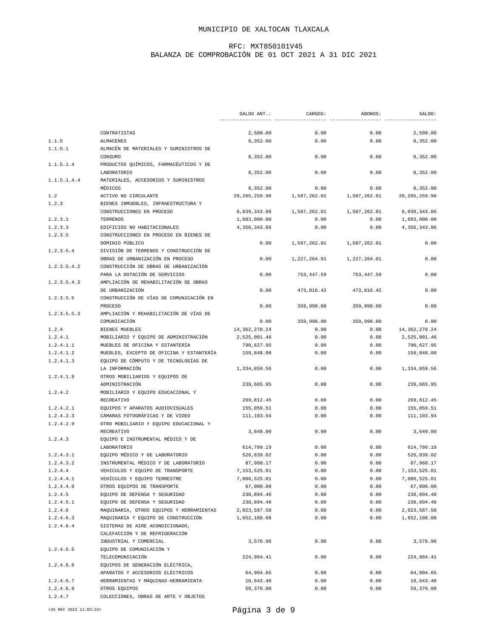|                        |                                                                           | SALDO ANT. :                 | CARGOS:      | ABONOS:      | SALDO:                       |
|------------------------|---------------------------------------------------------------------------|------------------------------|--------------|--------------|------------------------------|
|                        |                                                                           |                              |              |              |                              |
|                        | CONTRATISTAS                                                              | 2,500.00                     | 0.00         | 0.00         | 2,500.00                     |
| 1.1.5                  | ALMACENES<br>ALMACÉN DE MATERIALES Y SUMINISTROS DE                       | 8,352.00                     | 0.00         | 0.00         | 8,352.00                     |
| 1.1.5.1                |                                                                           |                              |              |              |                              |
| 1.1.5.1.4              | CONSUMO<br>PRODUCTOS QUÍMICOS, FARMACÉUTICOS Y DE                         | 8,352.00                     | 0.00         | 0.00         | 8,352.00                     |
|                        | LABORATORIO                                                               | 8,352.00                     | 0.00         | 0.00         | 8,352.00                     |
| 1.1.5.1.4.4            | MATERIALES, ACCESORIOS Y SUMINISTROS                                      |                              |              |              |                              |
|                        | MÉDICOS                                                                   | 8,352.00                     | 0.00         | 0.00         | 8,352.00                     |
| 1.2                    | ACTIVO NO CIRCULANTE                                                      | 20, 265, 259.96              | 1,587,262.01 | 1,587,262.01 | 20, 265, 259.96              |
| 1.2.3                  | BIENES INMUEBLES, INFRAESTRUCTURA Y                                       |                              |              |              |                              |
|                        | CONSTRUCCIONES EN PROCESO                                                 | 6,039,343.86                 | 1,587,262.01 | 1,587,262.01 | 6,039,343.86                 |
| 1.2.3.1                | TERRENOS                                                                  | 1,683,000.00                 | 0.00         | 0.00         | 1,683,000.00                 |
| 1.2.3.3                | EDIFICIOS NO HABITACIONALES                                               | 4,356,343.86                 | 0.00         | 0.00         | 4, 356, 343.86               |
| 1.2.3.5                | CONSTRUCCIONES EN PROCESO EN BIENES DE                                    |                              |              |              |                              |
|                        | DOMINIO PÚBLICO                                                           | 0.00                         | 1,587,262.01 | 1,587,262.01 | 0.00                         |
| 1.2.3.5.4              | DIVISIÓN DE TERRENOS Y CONSTRUCCIÓN DE                                    |                              |              |              |                              |
|                        | OBRAS DE URBANIZACIÓN EN PROCESO                                          | 0.00                         | 1,227,264.01 | 1,227,264.01 | 0.00                         |
| 1.2.3.5.4.2            | CONSTRUCCIÓN DE OBRAS DE URBANIZACIÓN                                     |                              |              |              |                              |
|                        | PARA LA DOTACIÓN DE SERVICIOS                                             | 0.00                         | 753, 447.59  | 753, 447.59  | 0.00                         |
| 1.2.3.5.4.3            | AMPLIACIÓN DE REHABILITACIÓN DE OBRAS                                     |                              |              |              |                              |
|                        | DE URBANIZACIÓN                                                           | 0.00                         | 473,816.42   | 473,816.42   | 0.00                         |
| 1.2.3.5.5              | CONSTRUCCIÓN DE VÍAS DE COMUNICACIÓN EN                                   |                              |              |              |                              |
|                        | PROCESO                                                                   | 0.00                         | 359,998.00   | 359,998.00   | 0.00                         |
| 1.2.3.5.5.3            | AMPLIACIÓN Y REHABILITACIÓN DE VÍAS DE                                    |                              |              |              |                              |
|                        | COMUNICACIÓN                                                              | 0.00                         | 359,998.00   | 359,998.00   | 0.00                         |
| 1.2.4                  | <b>BIENES MUEBLES</b>                                                     | 14, 362, 270.24              | 0.00         | 0.00         | 14, 362, 270. 24             |
| 1.2.4.1                | MOBILIARIO Y EQUIPO DE ADMINISTRACIÓN                                     | 2,525,001.46                 | 0.00         | 0.00         | 2,525,001.46                 |
| 1.2.4.1.1              | MUEBLES DE OFICINA Y ESTANTERÍA                                           | 790,627.95                   | 0.00         | 0.00         | 790,627.95                   |
| 1.2.4.1.2              | MUEBLES, EXCEPTO DE OFICINA Y ESTANTERÍA                                  | 159,848.00                   | 0.00         | 0.00         | 159,848.00                   |
| 1.2.4.1.3              | EQUIPO DE CÓMPUTO Y DE TECNOLOGÍAS DE                                     |                              |              |              |                              |
|                        | LA INFORMACIÓN                                                            | 1,334,859.56                 | 0.00         | 0.00         | 1,334,859.56                 |
| 1.2.4.1.9              | OTROS MOBILIARIOS Y EQUIPOS DE                                            |                              |              |              |                              |
|                        | ADMINISTRACIÓN                                                            | 239,665.95                   | 0.00         | 0.00         | 239,665.95                   |
| 1.2.4.2                | MOBILIARIO Y EQUIPO EDUCACIONAL Y                                         |                              |              |              |                              |
|                        | <b>RECREATIVO</b>                                                         | 269,812.45                   | 0.00         | 0.00         | 269,812.45                   |
| 1.2.4.2.1              | EQUIPOS Y APARATOS AUDIOVISUALES                                          | 155,059.51                   | 0.00         | 0.00         | 155,059.51                   |
| 1.2.4.2.3              | CÁMARAS FOTOGRÁFICAS Y DE VIDEO                                           | 111,103.94                   | 0.00         | 0.00         | 111,103.94                   |
| 1.2.4.2.9              | OTRO MOBILIARIO Y EQUIPO EDUCACIONAL Y                                    |                              |              |              |                              |
|                        | <b>RECREATIVO</b>                                                         | 3,649.00                     | 0.00         | 0.00         | 3,649.00                     |
| 1.2.4.3                | EQUIPO E INSTRUMENTAL MÉDICO Y DE                                         |                              |              |              |                              |
|                        | LABORATORIO                                                               | 614,799.19                   | 0.00         | 0.00         | 614,799.19                   |
| 1.2.4.3.1              | EQUIPO MÉDICO Y DE LABORATORIO                                            | 526,839.02                   | 0.00         | 0.00         | 526,839.02                   |
| 1.2.4.3.2              | INSTRUMENTAL MÉDICO Y DE LABORATORIO                                      | 87,960.17                    | 0.00         | 0.00         | 87,960.17                    |
| 1.2.4.4                | VEHICULOS Y EQUIPO DE TRANSPORTE                                          | 7,153,525.01                 | 0.00         | 0.00         | 7,153,525.01                 |
| 1.2.4.4.1              | VEHÍCULOS Y EQUIPO TERRESTRE                                              | 7,086,525.01                 | 0.00         | 0.00         | 7,086,525.01                 |
| 1.2.4.4.9              | OTROS EQUIPOS DE TRANSPORTE                                               | 67,000.00                    | 0.00         | 0.00         | 67,000.00                    |
| 1.2.4.5                | EQUIPO DE DEFENSA Y SEGURIDAD                                             | 238,894.48                   | 0.00         | 0.00         | 238,894.48                   |
| 1.2.4.5.1              | EQUIPO DE DEFENSA Y SEGURIDAD<br>MAQUINARIA, OTROS EQUIPOS Y HERRAMIENTAS | 238,894.48                   | 0.00         | 0.00         | 238,894.48                   |
| 1.2.4.6                | MAQUINARIA Y EQUIPO DE CONSTRUCCIÓN                                       | 2,023,587.50<br>1,652,108.08 | 0.00         | 0.00<br>0.00 | 2,023,587.50<br>1,652,108.08 |
| 1.2.4.6.3<br>1.2.4.6.4 | SISTEMAS DE AIRE ACONDICIONADO,                                           |                              | 0.00         |              |                              |
|                        | CALEFACCIÓN Y DE REFRIGERACIÓN                                            |                              |              |              |                              |
|                        | INDUSTRIAL Y COMERCIAL                                                    | 3,576.96                     | 0.00         | 0.00         | 3,576.96                     |
| 1.2.4.6.5              | EQUIPO DE COMUNICACIÓN Y                                                  |                              |              |              |                              |
|                        | TELECOMUNICACIÓN                                                          | 224,984.41                   | 0.00         | 0.00         | 224,984.41                   |
| 1.2.4.6.6              | EQUIPOS DE GENERACIÓN ELÉCTRICA,                                          |                              |              |              |                              |
|                        | APARATOS Y ACCESORIOS ELÉCTRICOS                                          | 64,904.65                    | 0.00         | 0.00         | 64,904.65                    |
| 1.2.4.6.7              | HERRAMIENTAS Y MÁQUINAS-HERRAMIENTA                                       | 18,643.40                    | 0.00         | 0.00         | 18,643.40                    |
| 1.2.4.6.9              | OTROS EQUIPOS                                                             | 59,370.00                    | 0.00         | 0.00         | 59,370.00                    |
| 1.2.4.7                | COLECCIONES, OBRAS DE ARTE Y OBJETOS                                      |                              |              |              |                              |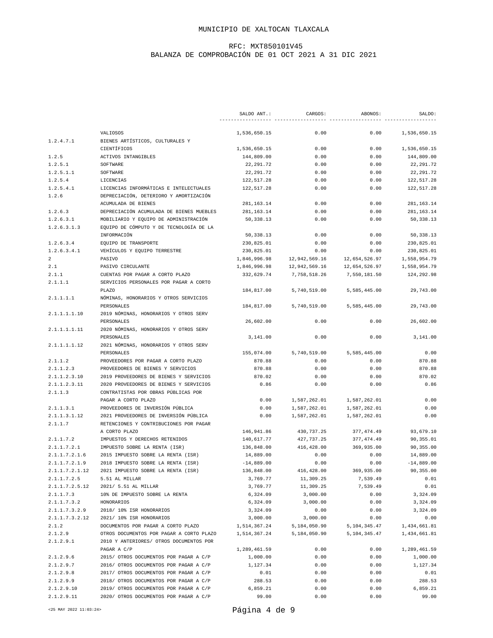|                |                                                     | SALDO ANT.:  | CARGOS:       | ABONOS:       | SALDO:       |
|----------------|-----------------------------------------------------|--------------|---------------|---------------|--------------|
|                |                                                     |              |               |               |              |
|                | VALIOSOS                                            | 1,536,650.15 | 0.00          | 0.00          | 1,536,650.15 |
| 1.2.4.7.1      | BIENES ARTÍSTICOS, CULTURALES Y<br>CIENTÍFICOS      | 1,536,650.15 | 0.00          | 0.00          | 1,536,650.15 |
| 1.2.5          | ACTIVOS INTANGIBLES                                 | 144,809.00   | 0.00          | 0.00          | 144,809.00   |
| 1.2.5.1        | SOFTWARE                                            | 22, 291.72   | 0.00          | 0.00          | 22, 291.72   |
|                |                                                     |              |               |               |              |
| 1.2.5.1.1      | SOFTWARE                                            | 22, 291.72   | 0.00          | 0.00          | 22, 291.72   |
| 1.2.5.4        | LICENCIAS<br>LICENCIAS INFORMÁTICAS E INTELECTUALES | 122,517.28   | 0.00          | 0.00          | 122,517.28   |
| 1.2.5.4.1      |                                                     | 122,517.28   | 0.00          | 0.00          | 122,517.28   |
| 1.2.6          | DEPRECIACIÓN, DETERIORO Y AMORTIZACIÓN              |              |               |               |              |
|                | ACUMULADA DE BIENES                                 | 281, 163. 14 | 0.00          | 0.00          | 281, 163. 14 |
| 1.2.6.3        | DEPRECIACIÓN ACUMULADA DE BIENES MUEBLES            | 281, 163. 14 | 0.00          | 0.00          | 281, 163. 14 |
| 1.2.6.3.1      | MOBILIARIO Y EQUIPO DE ADMINISTRACIÓN               | 50,338.13    | 0.00          | 0.00          | 50,338.13    |
| 1.2.6.3.1.3    | EQUIPO DE CÓMPUTO Y DE TECNOLOGÍA DE LA             |              |               |               |              |
|                | INFORMACIÓN                                         | 50,338.13    | 0.00          | 0.00          | 50, 338.13   |
| 1.2.6.3.4      | EQUIPO DE TRANSPORTE                                | 230,825.01   | 0.00          | 0.00          | 230,825.01   |
| 1.2.6.3.4.1    | VEHÍCULOS Y EQUIPO TERRESTRE                        | 230,825.01   | 0.00          | 0.00          | 230,825.01   |
| 2              | PASIVO                                              | 1,846,996.98 | 12,942,569.16 | 12,654,526.97 | 1,558,954.79 |
| 2.1            | PASIVO CIRCULANTE                                   | 1,846,996.98 | 12,942,569.16 | 12,654,526.97 | 1,558,954.79 |
| 2.1.1          | CUENTAS POR PAGAR A CORTO PLAZO                     | 332,629.74   | 7,758,518.26  | 7,550,181.50  | 124,292.98   |
| 2.1.1.1        | SERVICIOS PERSONALES POR PAGAR A CORTO              |              |               |               |              |
|                | PLAZO                                               | 184,817.00   | 5,740,519.00  | 5,585,445.00  | 29,743.00    |
| 2.1.1.1.1      | NÓMINAS, HONORARIOS Y OTROS SERVICIOS               |              |               |               |              |
|                | PERSONALES                                          | 184,817.00   | 5,740,519.00  | 5,585,445.00  | 29,743.00    |
| 2.1.1.1.1.10   | 2019 NÓMINAS, HONORARIOS Y OTROS SERV               |              |               |               |              |
|                | PERSONALES                                          | 26,602.00    | 0.00          | 0.00          | 26,602.00    |
| 2.1.1.1.1.11   | 2020 NÓMINAS, HONORARIOS Y OTROS SERV               |              |               |               |              |
|                | PERSONALES                                          | 3,141.00     | 0.00          | 0.00          | 3,141.00     |
| 2.1.1.1.1.12   | 2021 NÓMINAS, HONORARIOS Y OTROS SERV               |              |               |               |              |
|                | PERSONALES                                          | 155,074.00   | 5,740,519.00  | 5,585,445.00  | 0.00         |
| 2.1.1.2        | PROVEEDORES POR PAGAR A CORTO PLAZO                 | 870.88       | 0.00          | 0.00          | 870.88       |
| 2.1.1.2.3      | PROVEEDORES DE BIENES Y SERVICIOS                   | 870.88       | 0.00          | 0.00          | 870.88       |
| 2.1.1.2.3.10   | 2019 PROVEEDORES DE BIENES Y SERVICIOS              | 870.02       | 0.00          | 0.00          | 870.02       |
| 2.1.1.2.3.11   | 2020 PROVEEDORES DE BIENES Y SERVICIOS              | 0.86         | 0.00          | 0.00          | 0.86         |
| 2.1.1.3        | CONTRATISTAS POR OBRAS PÚBLICAS POR                 |              |               |               |              |
|                | PAGAR A CORTO PLAZO                                 | 0.00         | 1,587,262.01  | 1,587,262.01  | 0.00         |
| 2.1.1.3.1      | PROVEEDORES DE INVERSIÓN PÚBLICA                    | 0.00         | 1,587,262.01  | 1,587,262.01  | 0.00         |
| 2.1.1.3.1.12   | 2021 PROVEEDORES DE INVERSIÓN PÚBLICA               | 0.00         | 1,587,262.01  | 1,587,262.01  | 0.00         |
| 2.1.1.7        | RETENCIONES Y CONTRIBUCIONES POR PAGAR              |              |               |               |              |
|                | A CORTO PLAZO                                       | 146,941.86   | 430,737.25    | 377, 474.49   | 93,679.10    |
| 2.1.1.7.2      | IMPUESTOS Y DERECHOS RETENIDOS                      | 140,617.77   | 427,737.25    | 377, 474.49   | 90,355.01    |
| 2.1.1.7.2.1    | IMPUESTO SOBRE LA RENTA (ISR)                       | 136,848.00   | 416,428.00    | 369,935.00    | 90,355.00    |
| 2.1.1.7.2.1.6  | 2015 IMPUESTO SOBRE LA RENTA (ISR)                  | 14,889.00    | 0.00          | 0.00          | 14,889.00    |
| 2.1.1.7.2.1.9  | 2018 IMPUESTO SOBRE LA RENTA (ISR)                  | $-14,889.00$ | 0.00          | 0.00          | $-14,889.00$ |
| 2.1.1.7.2.1.12 | 2021 IMPUESTO SOBRE LA RENTA (ISR)                  | 136,848.00   | 416, 428.00   | 369,935.00    | 90,355.00    |
| 2.1.1.7.2.5    | 5.51 AL MILLAR                                      | 3,769.77     | 11,309.25     | 7,539.49      | 0.01         |
| 2.1.1.7.2.5.12 | 2021/ 5.51 AL MILLAR                                | 3,769.77     | 11,309.25     | 7,539.49      | 0.01         |
|                | 10% DE IMPUESTO SOBRE LA RENTA                      |              |               | 0.00          |              |
| 2.1.1.7.3      |                                                     | 6,324.09     | 3,000.00      |               | 3,324.09     |
| 2.1.1.7.3.2    | HONORARIOS                                          | 6,324.09     | 3,000.00      | 0.00          | 3,324.09     |
| 2.1.1.7.3.2.9  | 2018/ 10% ISR HONORARIOS                            | 3,324.09     | 0.00          | 0.00          | 3,324.09     |
| 2.1.1.7.3.2.12 | 2021/ 10% ISR HONORARIOS                            | 3,000.00     | 3,000.00      | 0.00          | 0.00         |
| 2.1.2          | DOCUMENTOS POR PAGAR A CORTO PLAZO                  | 1,514,367.24 | 5,184,050.90  | 5,104,345.47  | 1,434,661.81 |
| 2.1.2.9        | OTROS DOCUMENTOS POR PAGAR A CORTO PLAZO            | 1,514,367.24 | 5,184,050.90  | 5,104,345.47  | 1,434,661.81 |
| 2.1.2.9.1      | 2010 Y ANTERIORES/ OTROS DOCUMENTOS POR             |              |               |               |              |
|                | PAGAR A C/P                                         | 1,289,461.59 | 0.00          | 0.00          | 1,289,461.59 |
| 2.1.2.9.6      | 2015/ OTROS DOCUMENTOS POR PAGAR A C/P              | 1,000.00     | 0.00          | 0.00          | 1,000.00     |
| 2.1.2.9.7      | 2016/ OTROS DOCUMENTOS POR PAGAR A C/P              | 1,127.34     | 0.00          | 0.00          | 1,127.34     |
| 2.1.2.9.8      | 2017/ OTROS DOCUMENTOS POR PAGAR A C/P              | 0.01         | 0.00          | 0.00          | 0.01         |
| 2.1.2.9.9      | 2018/ OTROS DOCUMENTOS POR PAGAR A C/P              | 288.53       | 0.00          | 0.00          | 288.53       |
| 2.1.2.9.10     | 2019/ OTROS DOCUMENTOS POR PAGAR A C/P              | 6,859.21     | 0.00          | 0.00          | 6,859.21     |
| 2.1.2.9.11     | 2020/ OTROS DOCUMENTOS POR PAGAR A C/P              | 99.00        | 0.00          | 0.00          | 99.00        |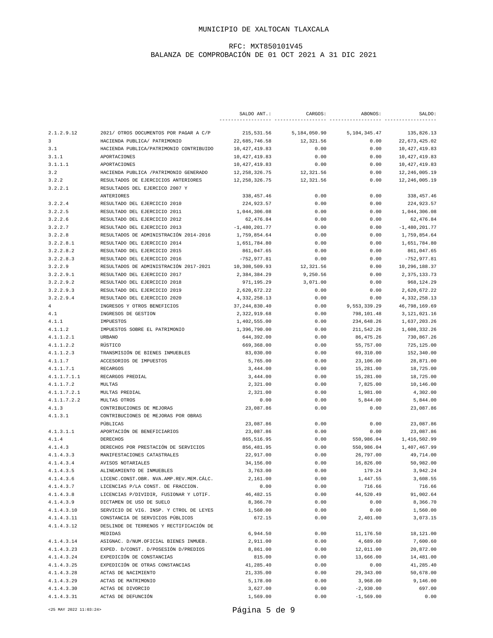|                          |                                                                   | SALDO ANT.:        | CARGOS:      | ABONOS:                | SALDO:                |
|--------------------------|-------------------------------------------------------------------|--------------------|--------------|------------------------|-----------------------|
| 2.1.2.9.12               | 2021/ OTROS DOCUMENTOS POR PAGAR A C/P                            | 215,531.56         | 5,184,050.90 | 5, 104, 345.47         | 135,826.13            |
| 3                        | HACIENDA PUBLICA/ PATRIMONIO                                      | 22,685,746.58      | 12,321.56    | 0.00                   | 22,673,425.02         |
| 3.1                      | HACIENDA PUBLICA/PATRIMONIO CONTRIBUIDO                           | 10, 427, 419.83    | 0.00         | 0.00                   | 10, 427, 419.83       |
| 3.1.1                    | <b>APORTACIONES</b>                                               | 10, 427, 419.83    | 0.00         | 0.00                   | 10, 427, 419.83       |
| 3.1.1.1                  | APORTACIONES                                                      | 10, 427, 419.83    | 0.00         | 0.00                   | 10, 427, 419.83       |
| 3.2                      | HACIENDA PUBLICA / PATRIMONIO GENERADO                            | 12, 258, 326.75    | 12,321.56    | 0.00                   | 12,246,005.19         |
| 3.2.2                    | RESULTADOS DE EJERCICIOS ANTERIORES                               | 12, 258, 326.75    | 12,321.56    | 0.00                   | 12,246,005.19         |
| 3.2.2.1                  | RESULTADOS DEL EJERCICO 2007 Y                                    |                    |              |                        |                       |
|                          | ANTERIORES                                                        | 338,457.46         | 0.00         | 0.00                   | 338, 457. 46          |
| 3.2.2.4                  | RESULTADO DEL EJERCICIO 2010                                      | 224,923.57         | 0.00         | 0.00                   | 224,923.57            |
| 3.2.2.5                  | RESULTADO DEL EJERCICIO 2011                                      | 1,044,306.08       | 0.00         | 0.00                   | 1,044,306.08          |
| 3.2.2.6                  | RESULTADO DEL EJERCICIO 2012                                      | 62,476.84          | 0.00         | 0.00                   | 62,476.84             |
| 3.2.2.7                  | RESULTADO DEL EJERCICIO 2013                                      | $-1,480,201.77$    | 0.00         | 0.00                   | $-1,480,201.77$       |
| 3.2.2.8                  | RESULTADOS DE ADMINISTRACIÓN 2014-2016                            | 1,759,854.64       | 0.00         | 0.00                   | 1,759,854.64          |
| 3.2.2.8.1                | RESULTADO DEL EJERCICIO 2014                                      | 1,651,784.80       | 0.00         | 0.00                   | 1,651,784.80          |
| 3.2.2.8.2                | RESULTADO DEL EJERCICIO 2015                                      | 861,047.65         | 0.00         | 0.00                   | 861,047.65            |
| 3.2.2.8.3                | RESULTADO DEL EJERCICIO 2016                                      | $-752,977.81$      | 0.00         | 0.00                   | $-752, 977.81$        |
| 3.2.2.9                  | RESULTADOS DE ADMINISTRACIÓN 2017-2021                            | 10,308,509.93      | 12,321.56    | 0.00                   | 10,296,188.37         |
| 3.2.2.9.1                | RESULTADO DEL EJERCICIO 2017                                      | 2,384,384.29       | 9,250.56     | 0.00                   | 2, 375, 133.73        |
| 3.2.2.9.2                | RESULTADO DEL EJERCICIO 2018                                      | 971,195.29         | 3,071.00     | 0.00                   | 968,124.29            |
| 3.2.2.9.3                | RESULTADO DEL EJERCICIO 2019                                      | 2,620,672.22       | 0.00         | 0.00                   | 2,620,672.22          |
| 3.2.2.9.4                | RESULTADO DEL EJERCICIO 2020                                      | 4, 332, 258.13     | 0.00         | 0.00                   | 4, 332, 258.13        |
| 4                        | INGRESOS Y OTROS BENEFICIOS                                       | 37, 244, 830.40    | 0.00         | 9,553,339.29           | 46,798,169.69         |
| 4.1                      | INGRESOS DE GESTION                                               | 2,322,919.68       | 0.00         | 798,101.48             | 3, 121, 021. 16       |
| 4.1.1                    | IMPUESTOS                                                         | 1,402,555.00       | 0.00         | 234,648.26             | 1,637,203.26          |
| 4.1.1.2                  | IMPUESTOS SOBRE EL PATRIMONIO                                     | 1,396,790.00       | 0.00         | 211,542.26             | 1,608,332.26          |
| 4.1.1.2.1                | <b>URBANO</b>                                                     | 644,392.00         | 0.00         | 86,475.26              | 730,867.26            |
| 4.1.1.2.2                | RÚSTICO                                                           | 669,368.00         | 0.00         | 55,757.00              | 725,125.00            |
| 4.1.1.2.3                | TRANSMISIÓN DE BIENES INMUEBLES                                   | 83,030.00          | 0.00         | 69,310.00              | 152,340.00            |
| 4.1.1.7                  | ACCESORIOS DE IMPUESTOS                                           | 5,765.00           | 0.00         | 23,106.00              | 28,871.00             |
| 4.1.1.7.1                | RECARGOS                                                          | 3,444.00           | 0.00         | 15,281.00              | 18,725.00             |
| 4.1.1.7.1.1              | RECARGOS PREDIAL                                                  | 3,444.00           | 0.00         | 15,281.00              | 18,725.00             |
| 4.1.1.7.2                | MULTAS                                                            | 2,321.00           | 0.00         | 7,825.00               | 10,146.00             |
| 4.1.1.7.2.1              | MULTAS PREDIAL                                                    | 2,321.00           | 0.00         | 1,981.00               | 4,302.00              |
| 4.1.1.7.2.2              | MULTAS OTROS                                                      | 0.00               | 0.00         | 5,844.00               | 5,844.00              |
| 4.1.3                    | CONTRIBUCIONES DE MEJORAS                                         | 23,087.86          | 0.00         | 0.00                   | 23,087.86             |
| 4.1.3.1                  | CONTRIBUCIONES DE MEJORAS POR OBRAS                               |                    |              |                        |                       |
|                          | PÚBLICAS                                                          | 23,087.86          | 0.00         | 0.00                   | 23,087.86             |
| 4.1.3.1.1                | APORTACIÓN DE BENEFICIARIOS                                       | 23,087.86          | 0.00         | 0.00                   | 23,087.86             |
| 4.1.4                    | <b>DERECHOS</b>                                                   | 865,516.95         | 0.00         | 550,986.04             | 1,416,502.99          |
| 4.1.4.3                  | DERECHOS POR PRESTACIÓN DE SERVICIOS                              | 856,481.95         | 0.00         | 550,986.04             | 1,407,467.99          |
| 4.1.4.3.3                | MANIFESTACIONES CATASTRALES                                       | 22,917.00          | 0.00         | 26,797.00              | 49,714.00             |
| 4.1.4.3.4                | AVISOS NOTARIALES                                                 | 34,156.00          | 0.00         | 16,826.00              | 50,982.00             |
| 4.1.4.3.5                | ALINEAMIENTO DE INMUEBLES                                         | 3,763.00           | 0.00         | 179.24                 | 3,942.24              |
| 4.1.4.3.6                | LICENC.CONST.OBR. NVA.AMP.REV.MEM.CÁLC.                           | 2,161.00           | 0.00         | 1,447.55               | 3,608.55              |
| 4.1.4.3.7                | LICENCIAS P/LA CONST. DE FRACCION.                                | 0.00               | 0.00         | 716.66                 | 716.66                |
| 4.1.4.3.8                | LICENCIAS P/DIVIDIR, FUSIONAR Y LOTIF.                            | 46, 482.15         | 0.00         | 44,520.49              | 91,002.64             |
| 4.1.4.3.9                | DICTAMEN DE USO DE SUELO                                          | 8,366.70           | 0.00         | 0.00                   | 8,366.70              |
| 4.1.4.3.10               | SERVICIO DE VIG. INSP. Y CTROL DE LEYES                           | 1,560.00           | 0.00         | 0.00                   | 1,560.00              |
| 4.1.4.3.11               | CONSTANCIA DE SERVICIOS PÚBLICOS                                  | 672.15             | 0.00         | 2,401.00               | 3,073.15              |
| 4.1.4.3.12               | DESLINDE DE TERRENOS Y RECTIFICACIÓN DE                           |                    |              |                        |                       |
|                          | MEDIDAS                                                           | 6,944.50           | 0.00         | 11,176.50              | 18,121.00             |
| 4.1.4.3.14               | ASIGNAC. D/NUM. OFICIAL BIENES INMUEB.                            | 2,911.00           | 0.00         | 4,689.60               | 7,600.60<br>20,872.00 |
| 4.1.4.3.23<br>4.1.4.3.24 | EXPED. D/CONST. D/POSESIÓN D/PREDIOS<br>EXPEDICIÓN DE CONSTANCIAS | 8,861.00<br>815.00 | 0.00         | 12,011.00<br>13,666.00 | 14,481.00             |
| 4.1.4.3.25               | EXPEDICIÓN DE OTRAS CONSTANCIAS                                   | 41,285.40          | 0.00<br>0.00 | 0.00                   | 41,285.40             |
| 4.1.4.3.28               | ACTAS DE NACIMIENTO                                               | 21,335.00          | 0.00         | 29, 343.00             | 50,678.00             |
| 4.1.4.3.29               | ACTAS DE MATRIMONIO                                               | 5,178.00           | 0.00         | 3,968.00               | 9,146.00              |
| 4.1.4.3.30               | ACTAS DE DIVORCIO                                                 | 3,627.00           | 0.00         | $-2,930.00$            | 697.00                |
| 4.1.4.3.31               | ACTAS DE DEFUNCIÓN                                                | 1,569.00           | 0.00         | $-1,569.00$            | 0.00                  |
|                          |                                                                   |                    |              |                        |                       |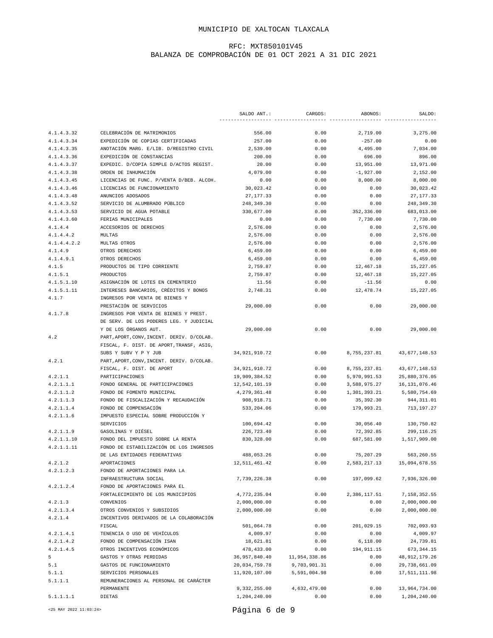## RFC: MXT850101V45 BALANZA DE COMPROBACIÓN DE 01 OCT 2021 A 31 DIC 2021

|             |                                                | SALDO ANT.:                  | CARGOS:       | ABONOS:      | SALDO:                       |
|-------------|------------------------------------------------|------------------------------|---------------|--------------|------------------------------|
| 4.1.4.3.32  | CELEBRACIÓN DE MATRIMONIOS                     | 556.00                       | 0.00          | 2,719.00     | 3,275.00                     |
| 4.1.4.3.34  | EXPEDICIÓN DE COPIAS CERTIFICADAS              | 257.00                       | 0.00          | $-257.00$    | 0.00                         |
| 4.1.4.3.35  | ANOTACIÓN MARG. E/LIB. D/REGISTRO CIVIL        | 2.539.00                     | 0.00          | 4,495,00     | 7,034.00                     |
| 4.1.4.3.36  | EXPEDICIÓN DE CONSTANCIAS                      | 200.00                       | 0.00          | 696.00       | 896.00                       |
| 4.1.4.3.37  | EXPEDIC. D/COPIA SIMPLE D/ACTOS REGIST.        | 20.00                        | 0.00          | 13,951.00    | 13,971.00                    |
| 4.1.4.3.38  | ORDEN DE INHUMACIÓN                            | 4,079.00                     | 0.00          | $-1,927.00$  | 2,152.00                     |
| 4.1.4.3.45  | LICENCIAS DE FUNC. P/VENTA D/BEB. ALCOH.       | 0.00                         | 0.00          | 8,000.00     | 8,000.00                     |
| 4.1.4.3.46  | LICENCIAS DE FUNCIONAMIENTO                    | 30,023.42                    | 0.00          | 0.00         | 30,023.42                    |
| 4.1.4.3.48  | ANUNCIOS ADOSADOS                              | 27, 177.33                   | 0.00          | 0.00         | 27, 177. 33                  |
| 4.1.4.3.52  | SERVICIO DE ALUMBRADO PÚBLICO                  | 248, 349. 30                 | 0.00          | 0.00         | 248, 349.30                  |
| 4.1.4.3.53  | SERVICIO DE AGUA POTABLE                       | 330,677.00                   | 0.00          | 352,336.00   | 683.013.00                   |
| 4.1.4.3.60  | FERIAS MUNICIPALES                             | 0.00                         | 0.00          | 7,730.00     | 7,730.00                     |
| 4.1.4.4     | ACCESORIOS DE DERECHOS                         | 2,576.00                     | 0.00          | 0.00         | 2,576.00                     |
| 4.1.4.4.2   | MULTAS                                         | 2,576.00                     | 0.00          | 0.00         | 2,576.00                     |
| 4.1.4.4.2.2 | MULTAS OTROS                                   | 2,576.00                     | 0.00          | 0.00         | 2,576.00                     |
| 4.1.4.9     | OTROS DERECHOS                                 | 6,459.00                     | 0.00          | 0.00         | 6,459.00                     |
| 4.1.4.9.1   | OTROS DERECHOS                                 | 6,459.00                     | 0.00          | 0.00         | 6,459.00                     |
| 4.1.5       | PRODUCTOS DE TIPO CORRIENTE                    | 2,759.87                     | 0.00          | 12,467.18    | 15,227.05                    |
| 4.1.5.1     | PRODUCTOS                                      | 2,759.87                     | 0.00          | 12,467.18    | 15,227.05                    |
| 4.1.5.1.10  | ASIGNACIÓN DE LOTES EN CEMENTERIO              | 11.56                        | 0.00          | $-11.56$     | 0.00                         |
| 4.1.5.1.11  | INTERESES BANCARIOS, CRÉDITOS Y BONOS          | 2,748.31                     | 0.00          | 12,478.74    | 15,227.05                    |
| 4.1.7       | INGRESOS POR VENTA DE BIENES Y                 |                              |               |              |                              |
|             | PRESTACIÓN DE SERVICIOS                        | 29,000.00                    | 0.00          | 0.00         | 29,000.00                    |
| 4.1.7.8     | INGRESOS POR VENTA DE BIENES Y PREST.          |                              |               |              |                              |
|             | DE SERV. DE LOS PODERES LEG. Y JUDICIAL        |                              |               |              |                              |
|             | Y DE LOS ÓRGANOS AUT.                          | 29,000.00                    | 0.00          | 0.00         | 29,000.00                    |
| 4.2         | PART, APORT, CONV, INCENT. DERIV. D/COLAB.     |                              |               |              |                              |
|             | FISCAL, F. DIST. DE APORT, TRANSF, ASIG,       |                              |               |              |                              |
|             | SUBS Y SUBV Y P Y JUB                          | 34, 921, 910. 72             | 0.00          | 8,755,237.81 | 43,677,148.53                |
| 4.2.1       | PART, APORT, CONV, INCENT. DERIV. D/COLAB.     |                              |               |              |                              |
|             | FISCAL, F. DIST. DE APORT                      | 34, 921, 910. 72             | 0.00          | 8,755,237.81 | 43, 677, 148.53              |
| 4.2.1.1     | PARTICIPACIONES                                | 19,909,384.52                | 0.00          | 5,970,991.53 | 25,880,376.05                |
| 4.2.1.1.1   | FONDO GENERAL DE PARTICIPACIONES               | 12,542,101.19                | 0.00          | 3,588,975.27 | 16, 131, 076. 46             |
| 4.2.1.1.2   | FONDO DE FOMENTO MUNICIPAL                     | 4, 279, 361.48               | 0.00          | 1,301,393.21 | 5,580,754.69                 |
| 4.2.1.1.3   | FONDO DE FISCALIZACIÓN Y RECAUDACIÓN           | 908, 918.71                  | 0.00          | 35,392.30    | 944, 311.01                  |
| 4.2.1.1.4   | FONDO DE COMPENSACIÓN                          | 533, 204.06                  | 0.00          | 179,993.21   | 713,197.27                   |
| 4.2.1.1.6   | IMPUESTO ESPECIAL SOBRE PRODUCCIÓN Y           |                              |               |              |                              |
|             | <b>SERVICIOS</b>                               | 100,694.42                   | 0.00          | 30,056.40    | 130,750.82                   |
| 4.2.1.1.9   | GASOLINAS Y DIÉSEL                             | 226.723.40                   | 0.00          | 72,392.85    | 299.116.25                   |
| 4.2.1.1.10  | FONDO DEL IMPUESTO SOBRE LA RENTA              | 830, 328.00                  | 0.00          | 687,581.00   | 1,517,909.00                 |
| 4.2.1.1.11  | FONDO DE ESTABILIZACIÓN DE LOS INGRESOS        |                              |               |              |                              |
|             | DE LAS ENTIDADES FEDERATIVAS                   | 488,053.26                   | 0.00          | 75,207.29    | 563,260.55                   |
| 4.2.1.2     | <b>APORTACIONES</b>                            | 12,511,461.42                | 0.00          | 2,583,217.13 | 15,094,678.55                |
| 4.2.1.2.3   | FONDO DE APORTACIONES PARA LA                  |                              |               |              |                              |
| 4.2.1.2.4   | INFRAESTRUCTURA SOCIAL                         | 7,739,226.38                 | 0.00          | 197,099.62   | 7,936,326.00                 |
|             | FONDO DE APORTACIONES PARA EL                  |                              |               |              |                              |
| 4.2.1.3     | FORTALECIMIENTO DE LOS MUNICIPIOS<br>CONVENIOS | 4,772,235.04<br>2,000,000.00 | 0.00<br>0.00  | 2,386,117.51 | 7,158,352.55                 |
| 4.2.1.3.4   | OTROS CONVENIOS Y SUBSIDIOS                    | 2,000,000.00                 | 0.00          | 0.00<br>0.00 | 2,000,000.00<br>2,000,000.00 |
| 4.2.1.4     | INCENTIVOS DERIVADOS DE LA COLABORACIÓN        |                              |               |              |                              |
|             | FISCAL                                         | 501,064.78                   | 0.00          | 201,029.15   | 702,093.93                   |
| 4.2.1.4.1   | TENENCIA O USO DE VEHÍCULOS                    | 4,009.97                     | 0.00          | 0.00         | 4,009.97                     |
| 4.2.1.4.2   | FONDO DE COMPENSACIÓN ISAN                     | 18,621.81                    | 0.00          | 6,118.00     | 24,739.81                    |
| 4.2.1.4.5   | OTROS INCENTIVOS ECONÓMICOS                    | 478, 433.00                  | 0.00          | 194, 911.15  | 673, 344.15                  |
| 5           | GASTOS Y OTRAS PERDIDAS                        | 36, 957, 840.40              | 11,954,338.86 | 0.00         | 48, 912, 179. 26             |
| 5.1         | GASTOS DE FUNCIONAMIENTO                       | 20,034,759.78                | 9,703,901.31  | 0.00         | 29,738,661.09                |
| 5.1.1       | SERVICIOS PERSONALES                           | 11,920,107.00                | 5,591,004.98  | 0.00         | 17,511,111.98                |
| 5.1.1.1     | REMUNERACIONES AL PERSONAL DE CARÁCTER         |                              |               |              |                              |
|             | PERMANENTE                                     | 9,332,255.00                 | 4,632,479.00  | 0.00         | 13,964,734.00                |
| 5.1.1.1.1   | DIETAS                                         | 1,204,240.00                 | 0.00          | 0.00         | 1,204,240.00                 |
|             |                                                |                              |               |              |                              |

<25 MAY 2022 11:03:24> Página 6 de 9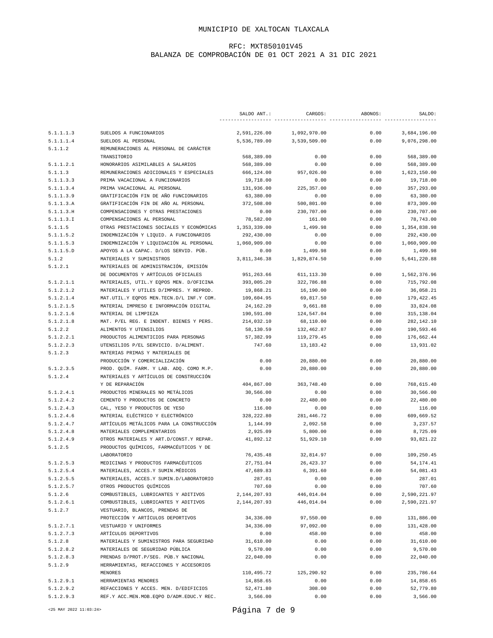# RFC: MXT850101V45 BALANZA DE COMPROBACIÓN DE 01 OCT 2021 A 31 DIC 2021

|                      |                                                               | SALDO ANT.:    | CARGOS:      | ABONOS: | SALDO:       |
|----------------------|---------------------------------------------------------------|----------------|--------------|---------|--------------|
|                      |                                                               |                |              |         |              |
| 5.1.1.1.3            | SUELDOS A FUNCIONARIOS                                        | 2,591,226.00   | 1,092,970.00 | 0.00    | 3,684,196.00 |
| 5.1.1.1.4<br>5.1.1.2 | SUELDOS AL PERSONAL<br>REMUNERACIONES AL PERSONAL DE CARÁCTER | 5,536,789.00   | 3,539,509.00 | 0.00    | 9,076,298.00 |
|                      | TRANSITORIO                                                   | 568,389.00     | 0.00         | 0.00    | 568,389.00   |
| 5.1.1.2.1            | HONORARIOS ASIMILABLES A SALARIOS                             | 568,389.00     | 0.00         | 0.00    | 568,389.00   |
| 5.1.1.3              | REMUNERACIONES ADICIONALES Y ESPECIALES                       | 666,124.00     | 957,026.00   | 0.00    | 1,623,150.00 |
| 5.1.1.3.3            | PRIMA VACACIONAL A FUNCIONARIOS                               | 19,718.00      | 0.00         | 0.00    | 19,718.00    |
| 5.1.1.3.4            | PRIMA VACACIONAL AL PERSONAL                                  | 131,936.00     | 225, 357.00  | 0.00    | 357,293.00   |
| 5.1.1.3.9            | GRATIFICACIÓN FIN DE AÑO FUNCIONARIOS                         | 63,380.00      | 0.00         | 0.00    | 63,380.00    |
| 5.1.1.3.A            | GRATIFICACIÓN FIN DE AÑO AL PERSONAL                          | 372,508.00     | 500,801.00   | 0.00    | 873,309.00   |
| 5.1.1.3.H            | COMPENSACIONES Y OTRAS PRESTACIONES                           | 0.00           | 230,707.00   | 0.00    | 230,707.00   |
| 5.1.1.3.1            | COMPENSACIONES AL PERSONAL                                    | 78,582.00      | 161.00       | 0.00    | 78,743.00    |
| 5.1.1.5              | OTRAS PRESTACIONES SOCIALES Y ECONÓMICAS                      | 1,353,339.00   | 1,499.98     | 0.00    | 1,354,838.98 |
| 5.1.1.5.2            | INDEMNIZACIÓN Y LIQUID. A FUNCIONARIOS                        | 292,430.00     | 0.00         | 0.00    | 292,430.00   |
| 5.1.1.5.3            | INDEMNIZACIÓN Y LIQUIDACIÓN AL PERSONAL                       | 1,060,909.00   | 0.00         | 0.00    | 1,060,909.00 |
| 5.1.1.5.D            | APOYOS A LA CAPAC. D/LOS SERVID. PÚB.                         | 0.00           | 1,499.98     | 0.00    | 1,499.98     |
| 5.1.2                | MATERIALES Y SUMINISTROS                                      | 3,811,346.38   | 1,829,874.50 | 0.00    | 5,641,220.88 |
| 5.1.2.1              | MATERIALES DE ADMINISTRACIÓN, EMISIÓN                         |                |              |         |              |
|                      | DE DOCUMENTOS Y ARTÍCULOS OFICIALES                           | 951,263.66     | 611,113.30   | 0.00    | 1,562,376.96 |
| 5.1.2.1.1            | MATERIALES, UTIL.Y EQPOS MEN. D/OFICINA                       | 393,005.20     | 322,786.88   | 0.00    | 715,792.08   |
| 5.1.2.1.2            | MATERIALES Y UTILES D/IMPRES. Y REPROD.                       | 19,868.21      | 16,190.00    | 0.00    | 36,058.21    |
| 5.1.2.1.4            | MAT.UTIL.Y EQPOS MEN.TECN.D/L INF.Y COM.                      | 109,604.95     | 69,817.50    | 0.00    | 179, 422.45  |
| 5.1.2.1.5            | MATERIAL IMPRESO E INFORMACIÓN DIGITAL                        | 24, 162. 20    | 9,661.88     | 0.00    | 33,824.08    |
| 5.1.2.1.6            | MATERIAL DE LIMPIEZA                                          | 190,591.00     | 124,547.04   | 0.00    | 315, 138.04  |
| 5.1.2.1.8            | MAT. P/EL REG. E INDENT. BIENES Y PERS.                       | 214,032.10     | 68,110.00    | 0.00    | 282, 142. 10 |
| 5.1.2.2              | ALIMENTOS Y UTENSILIOS                                        | 58,130.59      | 132,462.87   | 0.00    | 190,593.46   |
| 5.1.2.2.1            | PRODUCTOS ALIMENTICIOS PARA PERSONAS                          | 57,382.99      | 119,279.45   | 0.00    | 176,662.44   |
| 5.1.2.2.3            | UTENSILIOS P/EL SERVICIO. D/ALIMENT.                          | 747.60         | 13, 183. 42  | 0.00    | 13,931.02    |
| 5.1.2.3              | MATERIAS PRIMAS Y MATERIALES DE                               |                |              |         |              |
|                      | PRODUCCIÓN Y COMERCIALIZACIÓN                                 | 0.00           | 20,880.00    | 0.00    | 20,880.00    |
| 5.1.2.3.5            | PROD. QUÍM. FARM. Y LAB. ADQ. COMO M.P.                       | 0.00           | 20,880.00    | 0.00    | 20,880.00    |
| 5.1.2.4              | MATERIALES Y ARTÍCULOS DE CONSTRUCCIÓN                        |                |              |         |              |
|                      | Y DE REPARACIÓN                                               | 404,867.00     | 363,748.40   | 0.00    | 768,615.40   |
| 5.1.2.4.1            | PRODUCTOS MINERALES NO METÁLICOS                              | 30,566.00      | 0.00         | 0.00    | 30,566.00    |
| 5.1.2.4.2            | CEMENTO Y PRODUCTOS DE CONCRETO                               | 0.00           | 22,480.00    | 0.00    | 22,480.00    |
| 5.1.2.4.3            | CAL, YESO Y PRODUCTOS DE YESO                                 | 116.00         | 0.00         | 0.00    | 116.00       |
| 5.1.2.4.6            | MATERIAL ELÉCTRICO Y ELECTRÓNICO                              | 328,222.80     | 281,446.72   | 0.00    | 609,669.52   |
| 5.1.2.4.7            | ARTÍCULOS METÁLICOS PARA LA CONSTRUCCIÓN                      | 1,144.99       | 2,092.58     | 0.00    | 3,237.57     |
| 5.1.2.4.8            | MATERIALES COMPLEMENTARIOS                                    | 2,925.09       | 5,800.00     | 0.00    | 8,725.09     |
| 5.1.2.4.9            | OTROS MATERIALES Y ART.D/CONST.Y REPAR.                       | 41,892.12      | 51,929.10    | 0.00    | 93,821.22    |
| 5.1.2.5              | PRODUCTOS QUÍMICOS, FARMACÉUTICOS Y DE                        |                |              |         |              |
|                      | LABORATORIO                                                   | 76,435.48      | 32,814.97    | 0.00    | 109,250.45   |
| 5.1.2.5.3            | MEDICINAS Y PRODUCTOS FARMACÉUTICOS                           | 27,751.04      | 26, 423.37   | 0.00    | 54, 174. 41  |
| 5.1.2.5.4            | MATERIALES, ACCES.Y SUMIN.MÉDICOS                             | 47,689.83      | 6,391.60     | 0.00    | 54,081.43    |
| 5.1.2.5.5            | MATERIALES, ACCES.Y SUMIN.D/LABORATORIO                       | 287.01         | 0.00         | 0.00    | 287.01       |
| 5.1.2.5.7            | OTROS PRODUCTOS QUÍMICOS                                      | 707.60         | 0.00         | 0.00    | 707.60       |
| 5.1.2.6              | COMBUSTIBLES, LUBRICANTES Y ADITIVOS                          | 2, 144, 207.93 | 446,014.04   | 0.00    | 2,590,221.97 |
| 5.1.2.6.1            | COMBUSTIBLES, LUBRICANTES Y ADITIVOS                          | 2, 144, 207.93 | 446,014.04   | 0.00    | 2,590,221.97 |
| 5.1.2.7              | VESTUARIO, BLANCOS, PRENDAS DE                                |                |              |         |              |
|                      | PROTECCIÓN Y ARTÍCULOS DEPORTIVOS                             | 34,336.00      | 97,550.00    | 0.00    | 131,886.00   |
| 5.1.2.7.1            | VESTUARIO Y UNIFORMES                                         | 34,336.00      | 97,092.00    | 0.00    | 131,428.00   |
| 5.1.2.7.3            | ARTÍCULOS DEPORTIVOS                                          | 0.00           | 458.00       | 0.00    | 458.00       |
| 5.1.2.8              | MATERIALES Y SUMINISTROS PARA SEGURIDAD                       | 31,610.00      | 0.00         | 0.00    | 31,610.00    |
| 5.1.2.8.2            | MATERIALES DE SEGURIDAD PÚBLICA                               | 9,570.00       | 0.00         | 0.00    | 9,570.00     |
| 5.1.2.8.3            | PRENDAS D/PROT.P/SEG. PÚB.Y NACIONAL                          | 22,040.00      | 0.00         | 0.00    | 22,040.00    |
| 5.1.2.9              | HERRAMIENTAS, REFACCIONES Y ACCESORIOS                        |                |              |         |              |
|                      | MENORES                                                       | 110,495.72     | 125,290.92   | 0.00    | 235,786.64   |
| 5.1.2.9.1            | HERRAMIENTAS MENORES                                          | 14,858.65      | 0.00         | 0.00    | 14,858.65    |
| 5.1.2.9.2            | REFACCIONES Y ACCES. MEN. D/EDIFICIOS                         | 52,471.80      | 308.00       | 0.00    | 52,779.80    |
| 5.1.2.9.3            | REF.Y ACC.MEN.MOB.EQPO D/ADM.EDUC.Y REC.                      | 3,566.00       | 0.00         | 0.00    | 3,566.00     |

<25 MAY 2022 11:03:24> Página 7 de 9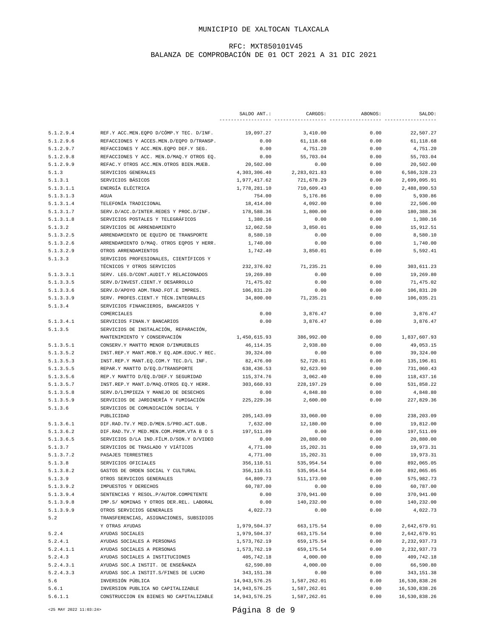# RFC: MXT850101V45 BALANZA DE COMPROBACIÓN DE 01 OCT 2021 A 31 DIC 2021

|                      |                                                                              | SALDO ANT.:     | CARGOS:        | ABONOS: | SALDO:         |
|----------------------|------------------------------------------------------------------------------|-----------------|----------------|---------|----------------|
| 5.1.2.9.4            | REF.Y ACC.MEN.EQPO D/CÓMP.Y TEC. D/INF.                                      | 19,097.27       | 3,410.00       | 0.00    | 22,507.27      |
| 5.1.2.9.6            | REFACCIONES Y ACCES.MEN.D/EQPO D/TRANSP.                                     | 0.00            | 61,118.68      | 0.00    | 61,118.68      |
| 5.1.2.9.7            | REFACCIONES Y ACC.MEN.EQPO DEF.Y SEG.                                        | 0.00            | 4,751.20       | 0.00    | 4,751.20       |
| 5.1.2.9.8            | REFACCIONES Y ACC. MEN.D/MAQ.Y OTROS EQ.                                     | 0.00            | 55,703.04      | 0.00    | 55,703.04      |
| 5.1.2.9.9            | REFAC.Y OTROS ACC.MEN.OTROS BIEN.MUEB.                                       | 20,502.00       | 0.00           | 0.00    | 20,502.00      |
| 5.1.3                | SERVICIOS GENERALES                                                          | 4,303,306.40    | 2, 283, 021.83 | 0.00    | 6,586,328.23   |
| 5.1.3.1              | SERVICIOS BÁSICOS                                                            | 1,977,417.62    | 721,678.29     | 0.00    | 2,699,095.91   |
| 5.1.3.1.1            | ENERGÍA ELÉCTRICA                                                            | 1,778,281.10    | 710,609.43     | 0.00    | 2,488,890.53   |
| 5.1.3.1.3            | AGUA                                                                         | 754.00          | 5,176.86       | 0.00    | 5,930.86       |
| 5.1.3.1.4            | TELEFONÍA TRADICIONAL                                                        | 18,414.00       | 4,092.00       | 0.00    | 22,506.00      |
| 5.1.3.1.7            | SERV.D/ACC.D/INTER.REDES Y PROC.D/INF.                                       | 178,588.36      | 1,800.00       | 0.00    | 180,388.36     |
| 5.1.3.1.8            | SERVICIOS POSTALES Y TELEGRÁFICOS                                            | 1,380.16        | 0.00           | 0.00    | 1,380.16       |
| 5.1.3.2              | SERVICIOS DE ARRENDAMIENTO                                                   | 12,062.50       | 3,850.01       | 0.00    | 15,912.51      |
| 5.1.3.2.5            | ARRENDAMIENTO DE EQUIPO DE TRANSPORTE                                        | 8,580.10        | 0.00           | 0.00    | 8,580.10       |
| 5.1.3.2.6            | ARRENDAMIENTO D/MAQ. OTROS EQPOS Y HERR.                                     | 1,740.00        | 0.00           | 0.00    | 1,740.00       |
| 5.1.3.2.9            | OTROS ARRENDAMIENTOS                                                         | 1,742.40        | 3,850.01       | 0.00    | 5,592.41       |
| 5.1.3.3              | SERVICIOS PROFESIONALES, CIENTÍFICOS Y                                       |                 |                |         |                |
|                      | TÉCNICOS Y OTROS SERVICIOS                                                   | 232,376.02      | 71,235.21      | 0.00    | 303,611.23     |
| 5.1.3.3.1            | SERV. LEG.D/CONT.AUDIT.Y RELACIONADOS                                        | 19,269.80       | 0.00           | 0.00    | 19,269.80      |
| 5.1.3.3.5            | SERV.D/INVEST.CIENT.Y DESARROLLO                                             | 71,475.02       | 0.00           | 0.00    | 71,475.02      |
| 5.1.3.3.6            | SERV.D/APOYO ADM.TRAD.FOT.E IMPRES.                                          | 106,831.20      | 0.00           | 0.00    | 106,831.20     |
| 5.1.3.3.9            | SERV. PROFES. CIENT. Y TÉCN. INTEGRALES                                      | 34,800.00       | 71,235.21      | 0.00    | 106,035.21     |
| 5.1.3.4              | SERVICIOS FINANCIEROS, BANCARIOS Y                                           |                 |                |         |                |
|                      | COMERCIALES                                                                  | 0.00            | 3,876.47       | 0.00    | 3,876.47       |
| 5.1.3.4.1            | SERVICIOS FINAN. Y BANCARIOS                                                 | 0.00            | 3,876.47       | 0.00    | 3,876.47       |
| 5.1.3.5              | SERVICIOS DE INSTALACIÓN, REPARACIÓN,                                        |                 |                |         |                |
|                      | MANTENIMIENTO Y CONSERVACIÓN                                                 | 1,450,615.93    | 386,992.00     | 0.00    | 1,837,607.93   |
| 5.1.3.5.1            | CONSERV.Y MANTTO MENOR D/INMUEBLES                                           | 46, 114.35      | 2,938.80       | 0.00    | 49,053.15      |
| 5.1.3.5.2            | INST.REP.Y MANT.MOB.Y EQ.ADM.EDUC.Y REC.                                     | 39,324.00       | 0.00           | 0.00    | 39,324.00      |
| 5.1.3.5.3            | INST.REP.Y MANT.EQ.COM.Y TEC.D/L INF.                                        | 82,476.00       | 52,720.81      | 0.00    | 135, 196.81    |
| 5.1.3.5.5            | REPAR.Y MANTTO D/EQ.D/TRANSPORTE                                             | 638,436.53      | 92,623.90      | 0.00    | 731,060.43     |
| 5.1.3.5.6            | REP.Y MANTTO D/EQ.D/DEF.Y SEGURIDAD                                          | 115,374.76      | 3,062.40       | 0.00    | 118,437.16     |
| 5.1.3.5.7            | INST.REP.Y MANT.D/MAQ.OTROS EQ.Y HERR.                                       | 303,660.93      | 228, 197.29    | 0.00    | 531,858.22     |
| 5.1.3.5.8            | SERV.D/LIMPIEZA Y MANEJO DE DESECHOS<br>SERVICIOS DE JARDINERÍA Y FUMIGACIÓN | 0.00            | 4,848.80       | 0.00    | 4,848.80       |
| 5.1.3.5.9<br>5.1.3.6 | SERVICIOS DE COMUNICACIÓN SOCIAL Y                                           | 225, 229.36     | 2,600.00       | 0.00    | 227,829.36     |
|                      | PUBLICIDAD                                                                   | 205, 143.09     | 33,060.00      | 0.00    | 238,203.09     |
| 5.1.3.6.1            | DIF.RAD.TV.Y MED.D/MEN.S/PRO.ACT.GUB.                                        | 7,632.00        | 12,180.00      | 0.00    | 19,812.00      |
| 5.1.3.6.2            | DIF.RAD.TV.Y MED.MEN.COM.PROM.VTA B O S                                      | 197,511.09      | 0.00           | 0.00    | 197,511.09     |
| 5.1.3.6.5            | SERVICIOS D/LA IND. FÍLM. D/SON. Y D/VIDEO                                   | 0.00            | 20,880.00      | 0.00    | 20,880.00      |
| 5.1.3.7              | SERVICIOS DE TRASLADO Y VIÁTICOS                                             | 4,771.00        | 15,202.31      | 0.00    | 19,973.31      |
| 5.1.3.7.2            | PASAJES TERRESTRES                                                           | 4,771.00        | 15,202.31      | 0.00    | 19,973.31      |
| 5.1.3.8              | SERVICIOS OFICIALES                                                          | 356,110.51      | 535,954.54     | 0.00    | 892,065.05     |
| 5.1.3.8.2            | GASTOS DE ORDEN SOCIAL Y CULTURAL                                            | 356,110.51      | 535,954.54     | 0.00    | 892,065.05     |
| 5.1.3.9              | OTROS SERVICIOS GENERALES                                                    | 64,809.73       | 511,173.00     | 0.00    | 575,982.73     |
| 5.1.3.9.2            | IMPUESTOS Y DERECHOS                                                         | 60,787.00       | 0.00           | 0.00    | 60,787.00      |
| 5.1.3.9.4            | SENTENCIAS Y RESOL. P/AUTOR. COMPETENTE                                      | 0.00            | 370,941.00     | 0.00    | 370,941.00     |
| 5.1.3.9.8            | IMP.S/ NOMINAS Y OTROS DER.REL. LABORAL                                      | 0.00            | 140,232.00     | 0.00    | 140,232.00     |
| 5.1.3.9.9            | OTROS SERVICIOS GENERALES                                                    | 4,022.73        | 0.00           | 0.00    | 4,022.73       |
| 5.2                  | TRANSFERENCIAS, ASIGNACIONES, SUBSIDIOS                                      |                 |                |         |                |
|                      | Y OTRAS AYUDAS                                                               | 1,979,504.37    | 663, 175.54    | 0.00    | 2,642,679.91   |
| 5.2.4                | AYUDAS SOCIALES                                                              | 1,979,504.37    | 663, 175.54    | 0.00    | 2,642,679.91   |
| 5.2.4.1              | AYUDAS SOCIALES A PERSONAS                                                   | 1,573,762.19    | 659, 175.54    | 0.00    | 2, 232, 937.73 |
| 5.2.4.1.1            | AYUDAS SOCIALES A PERSONAS                                                   | 1,573,762.19    | 659, 175.54    | 0.00    | 2, 232, 937.73 |
| 5.2.4.3              | AYUDAS SOCIALES A INSTITUCIONES                                              | 405,742.18      | 4,000.00       | 0.00    | 409,742.18     |
| 5.2.4.3.1            | AYUDAS SOC.A INSTIT. DE ENSEÑANZA                                            | 62,590.80       | 4,000.00       | 0.00    | 66,590.80      |
| 5.2.4.3.3            | AYUDAS SOC.A INSTIT.S/FINES DE LUCRO                                         | 343, 151.38     | 0.00           | 0.00    | 343, 151.38    |
| 5.6                  | INVERSIÓN PÚBLICA                                                            | 14, 943, 576.25 | 1,587,262.01   | 0.00    | 16,530,838.26  |
| 5.6.1                | INVERSION PUBLICA NO CAPITALIZABLE                                           | 14, 943, 576.25 | 1,587,262.01   | 0.00    | 16,530,838.26  |
| 5.6.1.1              | CONSTRUCCION EN BIENES NO CAPITALIZABLE                                      | 14, 943, 576.25 | 1,587,262.01   | 0.00    | 16,530,838.26  |

<25 MAY 2022 11:03:24> Página 8 de 9